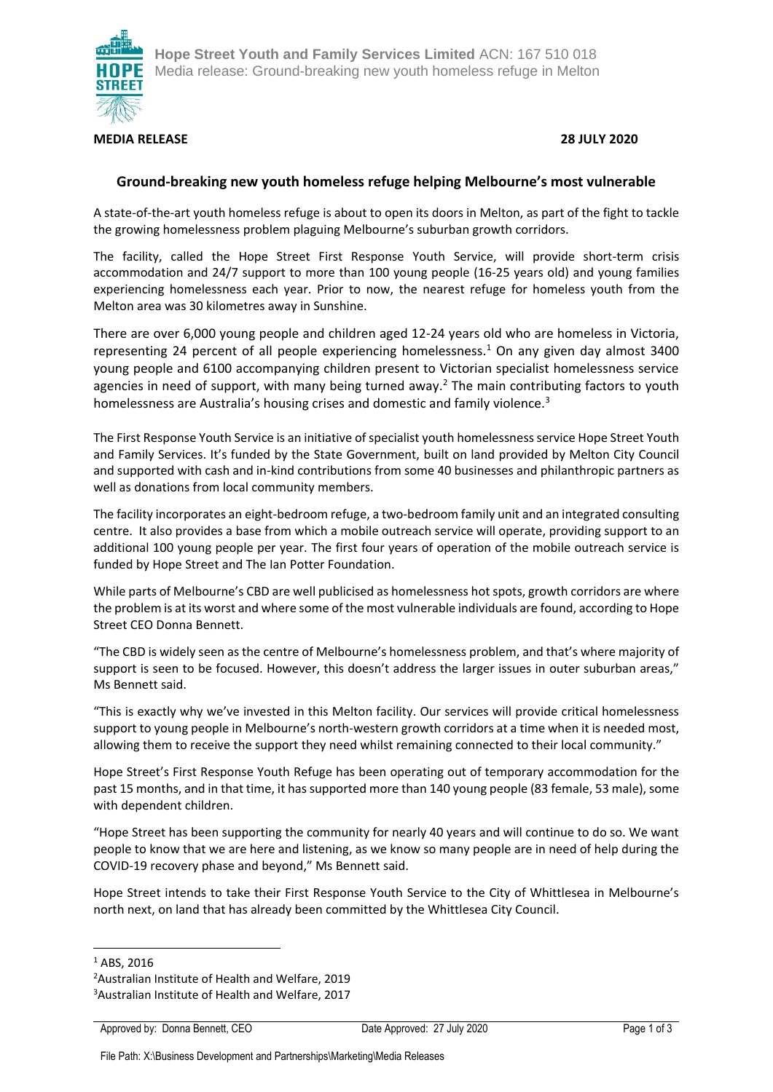

### **MEDIA RELEASE 28 JULY 2020**

## **Ground-breaking new youth homeless refuge helping Melbourne's most vulnerable**

A state-of-the-art youth homeless refuge is about to open its doors in Melton, as part of the fight to tackle the growing homelessness problem plaguing Melbourne's suburban growth corridors.

The facility, called the Hope Street First Response Youth Service, will provide short-term crisis accommodation and 24/7 support to more than 100 young people (16-25 years old) and young families experiencing homelessness each year. Prior to now, the nearest refuge for homeless youth from the Melton area was 30 kilometres away in Sunshine.

There are over 6,000 young people and children aged 12-24 years old who are homeless in Victoria, representing 24 percent of all people experiencing homelessness.<sup>1</sup> On any given day almost 3400 young people and 6100 accompanying children present to Victorian specialist homelessness service agencies in need of support, with many being turned away.<sup>2</sup> The main contributing factors to youth homelessness are Australia's housing crises and domestic and family violence.<sup>3</sup>

The First Response Youth Service is an initiative of specialist youth homelessness service Hope Street Youth and Family Services. It's funded by the State Government, built on land provided by Melton City Council and supported with cash and in-kind contributions from some 40 businesses and philanthropic partners as well as donations from local community members.

The facility incorporates an eight-bedroom refuge, a two-bedroom family unit and an integrated consulting centre. It also provides a base from which a mobile outreach service will operate, providing support to an additional 100 young people per year. The first four years of operation of the mobile outreach service is funded by Hope Street and The Ian Potter Foundation.

While parts of Melbourne's CBD are well publicised as homelessness hot spots, growth corridors are where the problem is at its worst and where some of the most vulnerable individuals are found, according to Hope Street CEO Donna Bennett.

"The CBD is widely seen as the centre of Melbourne's homelessness problem, and that's where majority of support is seen to be focused. However, this doesn't address the larger issues in outer suburban areas," Ms Bennett said.

"This is exactly why we've invested in this Melton facility. Our services will provide critical homelessness support to young people in Melbourne's north-western growth corridors at a time when it is needed most, allowing them to receive the support they need whilst remaining connected to their local community."

Hope Street's First Response Youth Refuge has been operating out of temporary accommodation for the past 15 months, and in that time, it has supported more than 140 young people (83 female, 53 male), some with dependent children.

"Hope Street has been supporting the community for nearly 40 years and will continue to do so. We want people to know that we are here and listening, as we know so many people are in need of help during the COVID-19 recovery phase and beyond," Ms Bennett said.

Hope Street intends to take their First Response Youth Service to the City of Whittlesea in Melbourne's north next, on land that has already been committed by the Whittlesea City Council.

<sup>&</sup>lt;sup>1</sup> ABS, 2016

<sup>2</sup>Australian Institute of Health and Welfare, 2019

<sup>3</sup>Australian Institute of Health and Welfare, 2017

Approved by: Donna Bennett, CEO Date Approved: 27 July 2020 Page 1 of 3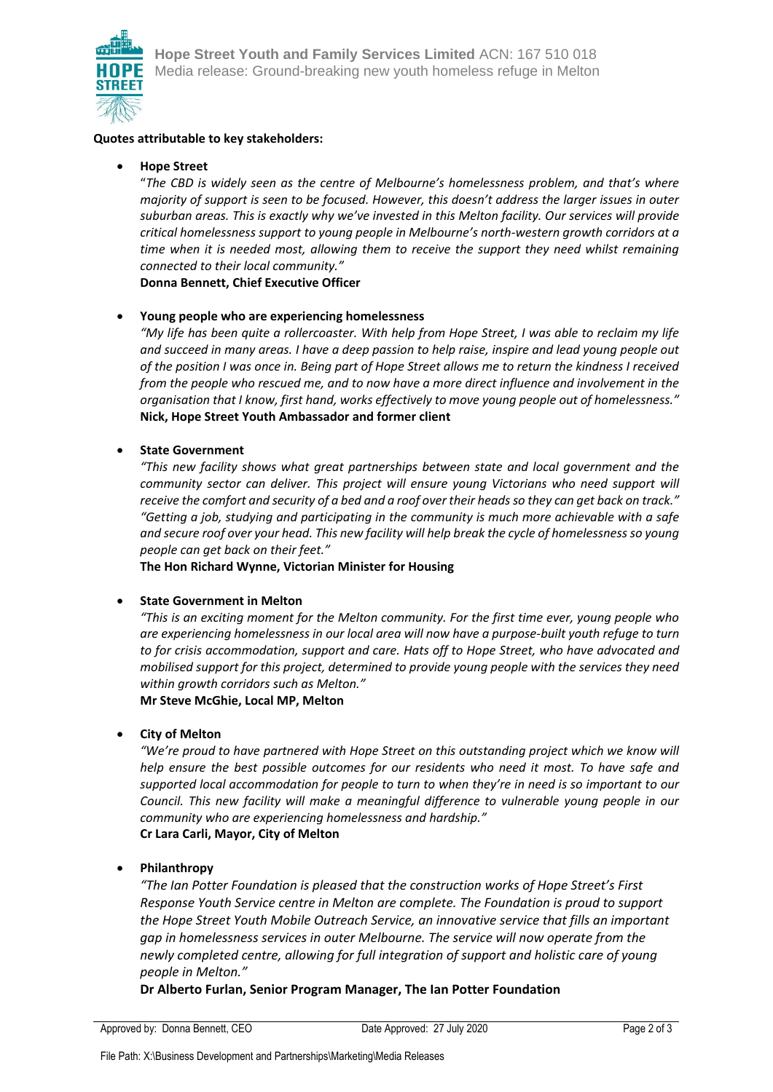

#### **Quotes attributable to key stakeholders:**

#### • **Hope Street**

"*The CBD is widely seen as the centre of Melbourne's homelessness problem, and that's where majority of support is seen to be focused. However, this doesn't address the larger issues in outer suburban areas. This is exactly why we've invested in this Melton facility. Our services will provide critical homelessness support to young people in Melbourne's north-western growth corridors at a time when it is needed most, allowing them to receive the support they need whilst remaining connected to their local community."* 

**Donna Bennett, Chief Executive Officer**

#### • **Young people who are experiencing homelessness**

*"My life has been quite a rollercoaster. With help from Hope Street, I was able to reclaim my life and succeed in many areas. I have a deep passion to help raise, inspire and lead young people out of the position I was once in. Being part of Hope Street allows me to return the kindness I received from the people who rescued me, and to now have a more direct influence and involvement in the organisation that I know, first hand, works effectively to move young people out of homelessness."* **Nick, Hope Street Youth Ambassador and former client**

#### • **State Government**

*"This new facility shows what great partnerships between state and local government and the community sector can deliver. This project will ensure young Victorians who need support will receive the comfort and security of a bed and a roof over their heads so they can get back on track." "Getting a job, studying and participating in the community is much more achievable with a safe and secure roof over your head. This new facility will help break the cycle of homelessness so young people can get back on their feet."*

**The Hon Richard Wynne, Victorian Minister for Housing**

#### • **State Government in Melton**

*"This is an exciting moment for the Melton community. For the first time ever, young people who are experiencing homelessness in our local area will now have a purpose-built youth refuge to turn to for crisis accommodation, support and care. Hats off to Hope Street, who have advocated and mobilised support for this project, determined to provide young people with the services they need within growth corridors such as Melton."* 

**Mr Steve McGhie, Local MP, Melton**

#### • **City of Melton**

*"We're proud to have partnered with Hope Street on this outstanding project which we know will help ensure the best possible outcomes for our residents who need it most. To have safe and supported local accommodation for people to turn to when they're in need is so important to our Council. This new facility will make a meaningful difference to vulnerable young people in our community who are experiencing homelessness and hardship."* **Cr Lara Carli, Mayor, City of Melton**

#### • **Philanthropy**

*"The Ian Potter Foundation is pleased that the construction works of Hope Street's First Response Youth Service centre in Melton are complete. The Foundation is proud to support the Hope Street Youth Mobile Outreach Service, an innovative service that fills an important gap in homelessness services in outer Melbourne. The service will now operate from the newly completed centre, allowing for full integration of support and holistic care of young people in Melton."*

**Dr Alberto Furlan, Senior Program Manager, The Ian Potter Foundation**